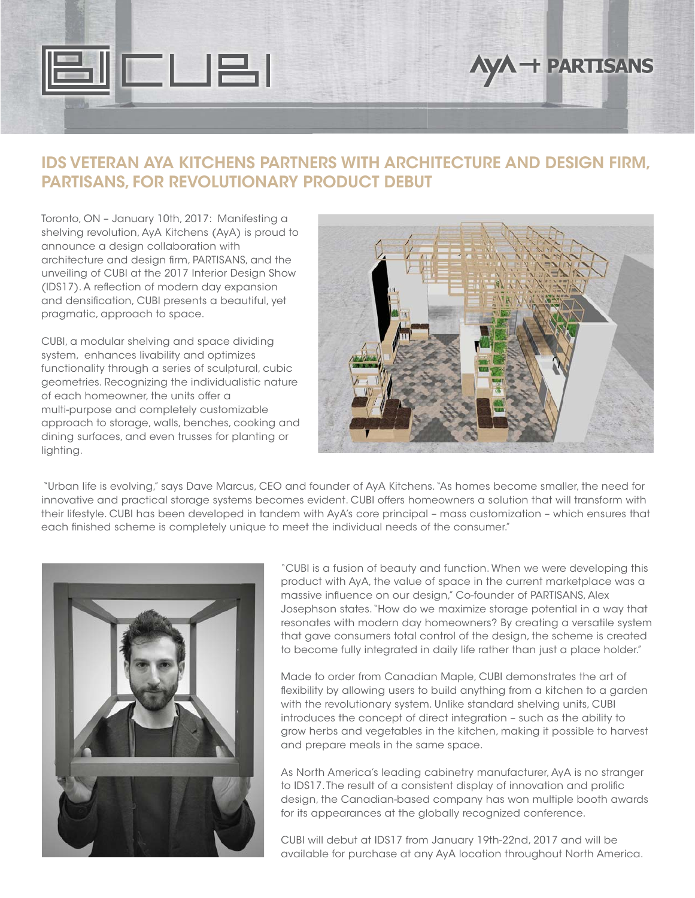

# **AyA + PARTISANS**

### **IDS VETERAN AYA KITCHENS PARTNERS WITH ARCHITECTURE AND DESIGN FIRM, PARTISANS, FOR REVOLUTIONARY PRODUCT DEBUT**

Toronto, ON – January 10th, 2017: Manifesting a shelving revolution, AyA Kitchens (AyA) is proud to announce a design collaboration with architecture and design firm, PARTISANS, and the unveiling of CUBI at the 2017 Interior Design Show (IDS17). A reflection of modern day expansion and densification, CUBI presents a beautiful, yet pragmatic, approach to space.

CUBI, a modular shelving and space dividing system, enhances livability and optimizes functionality through a series of sculptural, cubic geometries. Recognizing the individualistic nature of each homeowner, the units offer a multi-purpose and completely customizable approach to storage, walls, benches, cooking and dining surfaces, and even trusses for planting or lighting.



 "Urban life is evolving," says Dave Marcus, CEO and founder of AyA Kitchens. "As homes become smaller, the need for innovative and practical storage systems becomes evident. CUBI offers homeowners a solution that will transform with their lifestyle. CUBI has been developed in tandem with AyA's core principal – mass customization – which ensures that each finished scheme is completely unique to meet the individual needs of the consumer."



"CUBI is a fusion of beauty and function. When we were developing this product with AyA, the value of space in the current marketplace was a massive influence on our design," Co-founder of PARTISANS, Alex Josephson states. "How do we maximize storage potential in a way that resonates with modern day homeowners? By creating a versatile system that gave consumers total control of the design, the scheme is created to become fully integrated in daily life rather than just a place holder."

Made to order from Canadian Maple, CUBI demonstrates the art of flexibility by allowing users to build anything from a kitchen to a garden with the revolutionary system. Unlike standard shelving units, CUBI introduces the concept of direct integration – such as the ability to grow herbs and vegetables in the kitchen, making it possible to harvest and prepare meals in the same space.

As North America's leading cabinetry manufacturer, AyA is no stranger to IDS17. The result of a consistent display of innovation and prolific design, the Canadian-based company has won multiple booth awards for its appearances at the globally recognized conference.

CUBI will debut at IDS17 from January 19th-22nd, 2017 and will be available for purchase at any AyA location throughout North America.